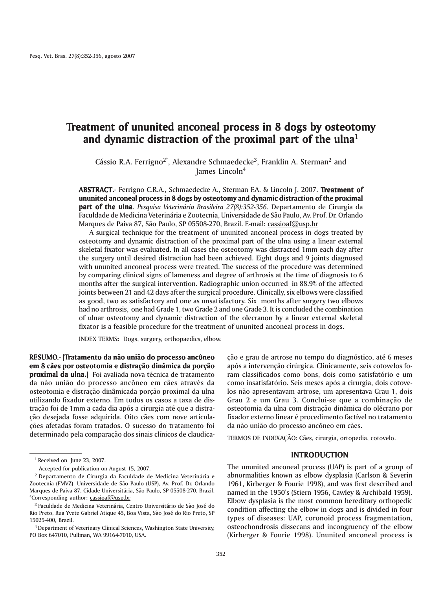# Treatment of ununited anconeal process in 8 dogs by osteotomy and dynamic distraction of the proximal part of the ulna<sup>1</sup>

Cássio R.A. Ferrigno<sup>2\*</sup>, Alexandre Schmaedecke<sup>3</sup>, Franklin A. Sterman<sup>2</sup> and James Lincoln4

ABSTRACT.- Ferrigno C.R.A., Schmaedecke A., Sterman F.A. & Lincoln J. 2007. Treatment of ununited anconeal process in 8 dogs by osteotomy and dynamic distraction of the proximal **part of the ulna**. *Pesquisa Veterinária Brasileira 27(8):352-356*. Departamento de Cirurgia da Faculdade de Medicina Veterinária e Zootecnia, Universidade de São Paulo, Av. Prof. Dr. Orlando Marques de Paiva 87, São Paulo, SP 05508-270, Brazil. E-mail: cassioaf@usp.br

A surgical technique for the treatment of ununited anconeal process in dogs treated by osteotomy and dynamic distraction of the proximal part of the ulna using a linear external skeletal fixator was evaluated. In all cases the osteotomy was distracted 1mm each day after the surgery until desired distraction had been achieved. Eight dogs and 9 joints diagnosed with ununited anconeal process were treated. The success of the procedure was determined by comparing clinical signs of lameness and degree of arthrosis at the time of diagnosis to 6 months after the surgical intervention. Radiographic union occurred in 88.9% of the affected joints between 21 and 42 days after the surgical procedure. Clinically, six elbows were classified as good, two as satisfactory and one as unsatisfactory. Six months after surgery two elbows had no arthrosis, one had Grade 1, two Grade 2 and one Grade 3. It is concluded the combination of ulnar osteotomy and dynamic distraction of the olecranon by a linear external skeletal fixator is a feasible procedure for the treatment of ununited anconeal process in dogs.

INDEX TERMS: Dogs, surgery, orthopaedics, elbow. :

RESUMO.- [Tratamento da não união do processo ancôneo em 8 cães por osteotomia e distração dinâmica da porção proximal da ulna.] Foi avaliada nova técnica de tratamento da não união do processo ancôneo em cães através da osteotomia e distração dinâmicada porção proximal da ulna utilizando fixador externo. Em todos os casos a taxa de distração foi de 1mm a cada dia após a cirurgia até que a distração desejada fosse adquirida. Oito cães com nove articulações afetadas foram tratados. O sucesso do tratamento foi determinado pela comparação dos sinais clínicos de claudicação e grau de artrose no tempo do diagnóstico, até 6 meses após a intervenção cirúrgica. Clinicamente, seis cotovelos foram classificados como bons, dois como satisfatório e um como insatisfatório. Seis meses após a cirurgia, dois cotovelos não apresentavam artrose, um apresentava Grau 1, dois Grau 2 e um Grau 3. Conclui-se que a combinação de osteotomia da ulna com distração dinâmica do olécrano por fixador externo linear é procedimento factível no tratamento da não união do processo ancôneo em cães.

TERMOS DE INDEXAÇÃO: Cães, cirurgia, ortopedia, cotovelo.

## INTRODUCTION

The ununited anconeal process (UAP) is part of a group of abnormalities known as elbow dysplasia (Carlson & Severin 1961, Kirberger & Fourie 1998), and was first described and named in the 1950's (Stiern 1956, Cawley & Archibald 1959). Elbow dysplasia is the most common hereditary orthopedic condition affecting the elbow in dogs and is divided in four types of diseases: UAP, coronoid process fragmentation, osteochondrosis dissecans and incongruency of the elbow (Kirberger & Fourie 1998). Ununited anconeal process is

<sup>&</sup>lt;sup>1</sup> Received on June 23, 2007.

Accepted for publication on August 15, 2007.

<sup>2</sup> Departamento de Cirurgia da Faculdade de Medicina Veterinária e Zootecnia (FMVZ), Universidade de São Paulo (USP), Av. Prof. Dr. Orlando Marques de Paiva 87, Cidade Universitária, São Paulo, SP 05508-270, Brazil. \*Corresponding author: cassioaf@usp.br

<sup>3</sup> Faculdade de Medicina Veterinária, Centro Universitário de São José do Rio Preto, Rua Yvete Gabriel Atique 45, Boa Vista, São José do Rio Preto, SP 15025-400, Brazil.

<sup>4</sup> Department of Veterinary Clinical Sciences, Washington State University, PO Box 647010, Pullman, WA 99164-7010, USA.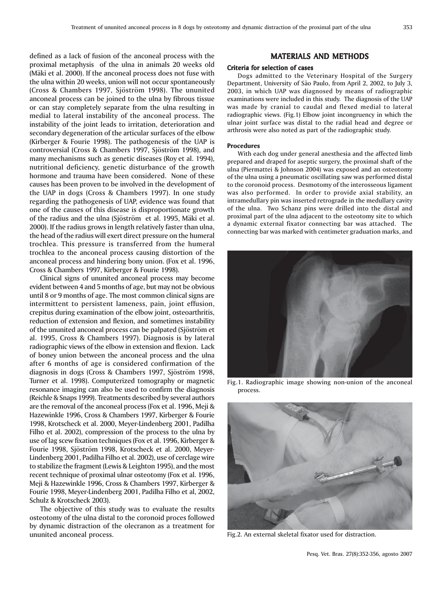defined as a lack of fusion of the anconeal process with the proximal metaphysis of the ulna in animals 20 weeks old (Mäki et al. 2000). If the anconeal process does not fuse with the ulna within 20 weeks, union will not occur spontaneously (Cross & Chambers 1997, Sjöström 1998). The ununited anconeal process can be joined to the ulna by fibrous tissue or can stay completely separate from the ulna resulting in medial to lateral instability of the anconeal process. The instability of the joint leads to irritation, deterioration and secondary degeneration of the articular surfaces of the elbow (Kirberger & Fourie 1998). The pathogenesis of the UAP is controversial (Cross & Chambers 1997, Sjöström 1998), and many mechanisms such as genetic diseases (Roy et al. 1994), nutritional deficiency, genetic disturbance of the growth hormone and trauma have been considered. None of these causes has been proven to be involved in the development of the UAP in dogs (Cross & Chambers 1997). In one study regarding the pathogenesis of UAP, evidence was found that one of the causes of this disease is disproportionate growth of the radius and the ulna (Sjöström et al. 1995, Mäki et al. 2000). If the radius grows in length relatively faster than ulna, the head of the radius will exert direct pressure on the humeral trochlea. This pressure is transferred from the humeral trochlea to the anconeal process causing distortion of the anconeal process and hindering bony union. (Fox et al. 1996, Cross & Chambers 1997, Kirberger & Fourie 1998).

Clinical signs of ununited anconeal process may become evident between 4 and 5 months of age, but may not be obvious until 8 or 9 months of age. The most common clinical signs are intermittent to persistent lameness, pain, joint effusion, crepitus during examination of the elbow joint, osteoarthritis, reduction of extension and flexion, and sometimes instability of the ununited anconeal process can be palpated (Sjöström et al. 1995, Cross & Chambers 1997). Diagnosis is by lateral radiographic views of the elbow in extension and flexion. Lack of boney union between the anconeal process and the ulna after 6 months of age is considered confirmation of the diagnosis in dogs (Cross & Chambers 1997, Sjöström 1998, Turner et al. 1998). Computerized tomography or magnetic resonance imaging can also be used to confirm the diagnosis (Reichle & Snaps 1999). Treatments described by several authors are the removal of the anconeal process (Fox et al. 1996, Meji & Hazewinkle 1996, Cross & Chambers 1997, Kirberger & Fourie 1998, Krotscheck et al. 2000, Meyer-Lindenberg 2001, Padilha Filho et al. 2002), compression of the process to the ulna by use of lag scew fixation techniques (Fox et al. 1996, Kirberger & Fourie 1998, Sjöström 1998, Krotscheck et al. 2000, Meyer-Lindenberg 2001, Padilha Filho et al. 2002), use of cerclage wire to stabilize the fragment (Lewis & Leighton 1995), and the most recent technique of proximal ulnar osteotomy (Fox et al. 1996, Meji & Hazewinkle 1996, Cross & Chambers 1997, Kirberger & Fourie 1998, Meyer-Lindenberg 2001, Padilha Filho et al, 2002, Schulz & Krotscheck 2003).

The objective of this study was to evaluate the results osteotomy of the ulna distal to the coronoid proces followed by dynamic distraction of the olecranon as a treatment for ununited anconeal process.

## MATERIALS AND METHODS

#### Criteria for selection of cases

Dogs admitted to the Veterinary Hospital of the Surgery Department, University of São Paulo, from April 2, 2002, to July 3, 2003, in which UAP was diagnosed by means of radiographic examinations were included in this study. The diagnosis of the UAP was made by cranial to caudal and flexed medial to lateral radiographic views. (Fig.1) Elbow joint incongruency in which the ulnar joint surface was distal to the radial head and degree or arthrosis were also noted as part of the radiographic study.

### Procedures

With each dog under general anesthesia and the affected limb prepared and draped for aseptic surgery, the proximal shaft of the ulna (Piermattei & Johnson 2004) was exposed and an osteotomy of the ulna using a pneumatic oscillating saw was performed distal to the coronoid process. Desmotomy of the interosseous ligament was also performed. In order to provide axial stability, an intramedullary pin was inserted retrograde in the medullary cavity of the ulna. Two Schanz pins were drilled into the distal and proximal part of the ulna adjacent to the osteotomy site to which a dynamic external fixator connecting bar was attached. The connecting bar was marked with centimeter graduation marks, and



Fig.1. Radiographic image showing non-union of the anconeal process.



Fig.2. An external skeletal fixator used for distraction.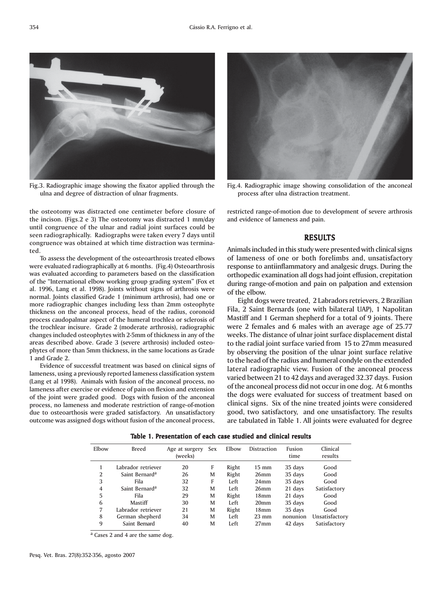

Fig.3. Radiographic image showing the fixator applied through the ulna and degree of distraction of ulnar fragments.

the osteotomy was distracted one centimeter before closure of the incison. (Figs.2 e 3) The osteotomy was distracted 1 mm/day until congruence of the ulnar and radial joint surfaces could be seen radiographically. Radiographs were taken every 7 days until congruence was obtained at which time distraction was termina-

To assess the development of the osteoarthrosis treated elbows were evaluated radiographically at 6 months. (Fig.4) Osteoarthrosis was evaluated according to parameters based on the classification of the "International elbow working group grading system" (Fox et al. 1996, Lang et al. 1998). Joints without signs of arthrosis were normal. Joints classified Grade 1 (minimum arthrosis), had one or more radiographic changes including less than 2mm osteophyte thickness on the anconeal process, head of the radius, coronoid process caudopalmar aspect of the humeral trochlea or sclerosis of the trochlear incisure. Grade 2 (moderate arthrosis), radiographic changes included osteophytes with 2-5mm of thickness in any of the areas described above. Grade 3 (severe arthrosis) included osteophytes of more than 5mm thickness, in the same locations as Grade

Evidence of successful treatment was based on clinical signs of lameness, using a previously reported lameness classification system (Lang et al 1998). Animals with fusion of the anconeal process, no lameness after exercise or evidence of pain on flexion and extension of the joint were graded good. Dogs with fusion of the anconeal process, no lameness and moderate restriction of range-of-motion due to osteoarthosis were graded satisfactory. An unsatisfactory outcome was assigned dogs without fusion of the anconeal process,

Fig.4. Radiographic image showing consolidation of the anconeal process after ulna distraction treatment.

restricted range-of-motion due to development of severe arthrosis and evidence of lameness and pain.

## RESULTS

Animals included in this study were presented with clinical signs of lameness of one or both forelimbs and, unsatisfactory response to antiinflammatory and analgesic drugs. During the orthopedic examination all dogs had joint effusion, crepitation during range-of-motion and pain on palpation and extension of the elbow.

Eight dogs were treated, 2 Labradors retrievers, 2 Brazilian Fila, 2 Saint Bernards (one with bilateral UAP), 1 Napolitan Mastiff and 1 German shepherd for a total of 9 joints. There were 2 females and 6 males with an average age of 25.77 weeks. The distance of ulnar joint surface displacement distal to the radial joint surface varied from 15 to 27mm measured by observing the position of the ulnar joint surface relative to the head of the radius and humeral condyle on the extended lateral radiographic view. Fusion of the anconeal process varied between 21 to 42 days and averaged 32.37 days. Fusion of the anconeal process did not occur in one dog. At 6 months the dogs were evaluated for success of treatment based on clinical signs. Six of the nine treated joints were considered good, two satisfactory, and one unsatisfactory. The results are tabulated in Table 1. All joints were evaluated for degree

Elbow Breed Age at surgery Sex Elbow Distraction Fusion Clinical (weeks) time results 1 Labrador retriever 20 F Right 15 mm 35 days Good 2 Saint Bernard<sup>a</sup> 26 M Right 26mm 35 days Good<br>3 F Left 24mm 35 days Good 3 Fila 32 F Left 24mm 35 days Good 4 Saint Bernarda 32 M Left 26mm 21 days Satisfactory 5 Fila 29 M Right 18mm 21 days Good 6 Mastiff 30 M Left 20mm 35 days Good 7 Labrador retriever 21 M Right 18mm 35 days Good 8 German shepherd 34 M Left 23 mm nonunion Unsatisfactory 9 Saint Bernard 40 M Left 27mm 42 days Satisfactory

Table 1. Presentation of each case studied and clinical results

a Cases 2 and 4 are the same dog.

ted.

1 and Grade 2.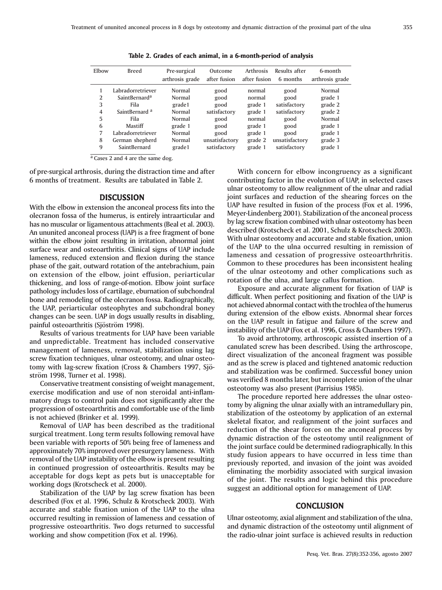| Elbow | <b>Breed</b>              | Pre-surgical<br>arthrosis grade | Outcome<br>after fusion | <b>Arthrosis</b><br>after fusion | Results after<br>6 months | 6-month<br>arthrosis grade |
|-------|---------------------------|---------------------------------|-------------------------|----------------------------------|---------------------------|----------------------------|
|       | Labradorretriever         | Normal                          | good                    | normal                           | good                      | Normal                     |
| 2     | SaintBernard <sup>a</sup> | Normal                          | good                    | normal                           | good                      | grade 1                    |
| 3     | Fila                      | grade1                          | good                    | grade 1                          | satisfactory              | grade 2                    |
| 4     | SaintBernard <sup>a</sup> | Normal                          | satisfactory            | grade 1                          | satisfactory              | grade 2                    |
| 5     | Fila                      | Normal                          | good                    | normal                           | good                      | Normal                     |
| 6     | Mastiff                   | grade 1                         | good                    | grade 1                          | good                      | grade 1                    |
| 7     | Labradorretriever         | Normal                          | good                    | grade 1                          | good                      | grade 1                    |
| 8     | German shepherd           | Normal                          | unsatisfactory          | grade 2                          | unsatisfactory            | grade 3                    |
| 9     | SaintBernard              | grade1                          | satisfactory            | grade 1                          | satisfactory              | grade 1                    |

Table 2. Grades of each animal, in a 6-month-period of analysis

 $a$  Cases 2 and 4 are the same dog.

of pre-surgical arthrosis, during the distraction time and after 6 months of treatment. Results are tabulated in Table 2.

## **DISCUSSION**

With the elbow in extension the anconeal process fits into the olecranon fossa of the humerus, is entirely intraarticular and has no muscular or ligamentous attachments (Beal et al. 2003). An ununited anconeal process (UAP) is a free fragment of bone within the elbow joint resulting in irritation, abnormal joint surface wear and osteoarthritis. Clinical signs of UAP include lameness, reduced extension and flexion during the stance phase of the gait, outward rotation of the antebrachium, pain on extension of the elbow, joint effusion, periarticular thickening, and loss of range-of-motion. Elbow joint surface pathology includes loss of cartilage, eburnation of subchondral bone and remodeling of the olecranon fossa. Radiographically, the UAP, periarticular osteophytes and subchondral boney changes can be seen. UAP in dogs usually results in disabling, painful osteoarthritis (Sjöström 1998).

Results of various treatments for UAP have been variable and unpredictable. Treatment has included conservative management of lameness, removal, stabilization using lag screw fixation techniques, ulnar osteotomy, and ulnar osteotomy with lag-screw fixation (Cross & Chambers 1997, Sjöström 1998, Turner et al. 1998).

Conservative treatment consisting of weight management, exercise modification and use of non steroidal anti-inflammatory drugs to control pain does not significantly alter the progression of osteoarthritis and comfortable use of the limb is not achieved (Brinker et al. 1999).

Removal of UAP has been described as the traditional surgical treatment. Long term results following removal have been variable with reports of 50% being free of lameness and approximately 70% improved over presurgery lameness. With removal of the UAP instability of the elbow is present resulting in continued progression of osteoarthritis. Results may be acceptable for dogs kept as pets but is unacceptable for working dogs (Krotscheck et al. 2000).

Stabilization of the UAP by lag screw fixation has been described (Fox et al. 1996, Schulz & Krotscheck 2003). With accurate and stable fixation union of the UAP to the ulna occurred resulting in remission of lameness and cessation of progressive osteoarthritis. Two dogs returned to successful working and show competition (Fox et al. 1996).

With concern for elbow incongruency as a significant contributing factor in the evolution of UAP, in selected cases ulnar osteotomy to allow realignment of the ulnar and radial joint surfaces and reduction of the shearing forces on the UAP have resulted in fusion of the process (Fox et al. 1996, Meyer-Lindenberg 2001). Stabilization of the anconeal process by lag screw fixation combined with ulnar osteotomy has been described (Krotscheck et al. 2001, Schulz & Krotscheck 2003). With ulnar osteotomy and accurate and stable fixation, union of the UAP to the ulna occurred resulting in remission of lameness and cessation of progressive osteoarthrhritis. Common to these procedures has been inconsistent healing of the ulnar osteotomy and other complications such as rotation of the ulna, and large callus formation.

Exposure and accurate alignment for fixation of UAP is difficult. When perfect positioning and fixation of the UAP is not achieved abnormal contact with the trochlea of the humerus during extension of the elbow exists. Abnormal shear forces on the UAP result in fatigue and failure of the screw and instability of the UAP (Fox et al. 1996, Cross & Chambers 1997).

To avoid arthrotomy, arthroscopic assisted insertion of a canulated screw has been described. Using the arthroscope, direct visualization of the anconeal fragment was possible and as the screw is placed and tightened anatomic reduction and stabilization was be confirmed. Successful boney union was verified 8 months later, but incomplete union of the ulnar osteotomy was also present (Parrisius 1985).

The procedure reported here addresses the ulnar osteotomy by aligning the ulnar axially with an intramedullary pin, stabilization of the osteotomy by application of an external skeletal fixator, and realignment of the joint surfaces and reduction of the shear forces on the anconeal process by dynamic distraction of the osteotomy until realignment of the joint surface could be determined radiographically. In this study fusion appears to have occurred in less time than previously reported, and invasion of the joint was avoided eliminating the morbidity associated with surgical invasion of the joint. The results and logic behind this procedure suggest an additional option for management of UAP.

## **CONCLUSION**

Ulnar osteotomy, axial alignment and stabilization of the ulna, and dynamic distraction of the osteotomy until alignment of the radio-ulnar joint surface is achieved results in reduction